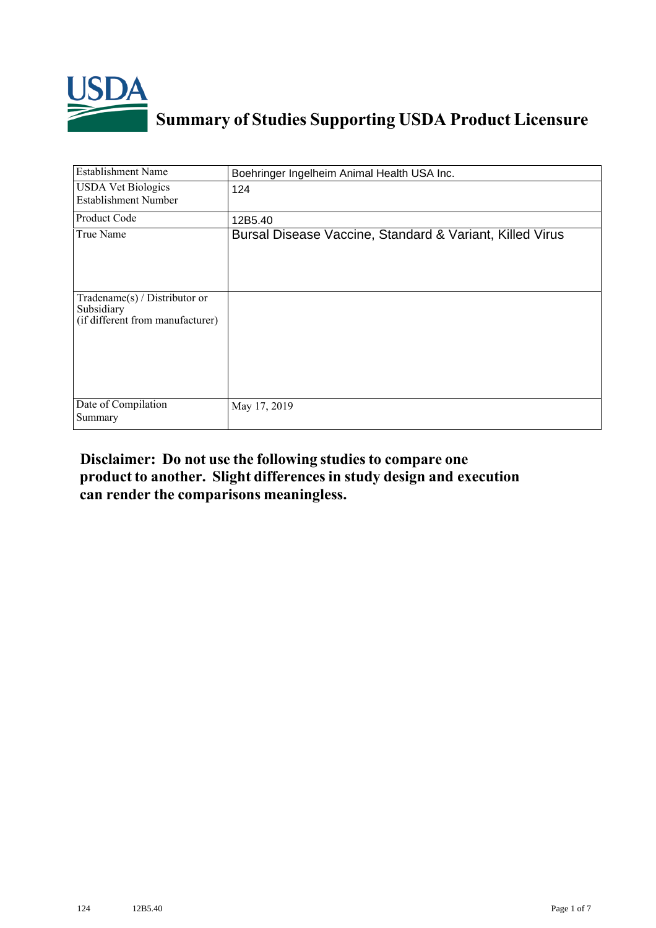

## **Summary of Studies Supporting USDA Product Licensure**

| <b>Establishment Name</b>                                                          | Boehringer Ingelheim Animal Health USA Inc.              |
|------------------------------------------------------------------------------------|----------------------------------------------------------|
| <b>USDA Vet Biologics</b><br>Establishment Number                                  | 124                                                      |
| Product Code                                                                       | 12B5.40                                                  |
| True Name                                                                          | Bursal Disease Vaccine, Standard & Variant, Killed Virus |
| Tradename $(s)$ / Distributor or<br>Subsidiary<br>(if different from manufacturer) |                                                          |
| Date of Compilation<br>Summary                                                     | May 17, 2019                                             |

## **Disclaimer: Do not use the following studiesto compare one product to another. Slight differencesin study design and execution can render the comparisons meaningless.**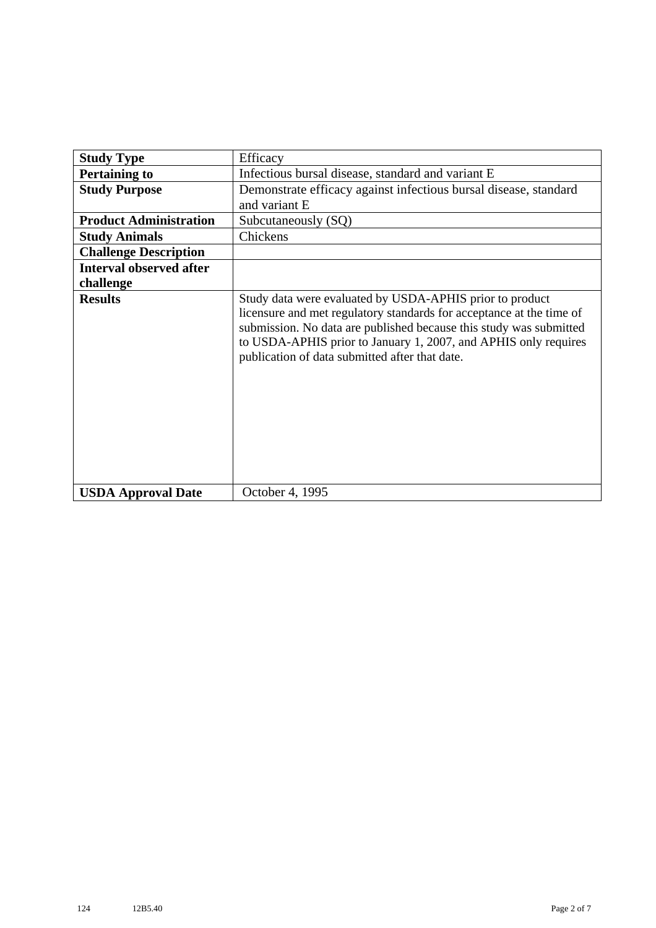| <b>Study Type</b>              | Efficacy                                                                                                                                                                                                                                                                                                                    |
|--------------------------------|-----------------------------------------------------------------------------------------------------------------------------------------------------------------------------------------------------------------------------------------------------------------------------------------------------------------------------|
| <b>Pertaining to</b>           | Infectious bursal disease, standard and variant E                                                                                                                                                                                                                                                                           |
| <b>Study Purpose</b>           | Demonstrate efficacy against infectious bursal disease, standard                                                                                                                                                                                                                                                            |
|                                | and variant E                                                                                                                                                                                                                                                                                                               |
| <b>Product Administration</b>  | Subcutaneously (SQ)                                                                                                                                                                                                                                                                                                         |
| <b>Study Animals</b>           | Chickens                                                                                                                                                                                                                                                                                                                    |
| <b>Challenge Description</b>   |                                                                                                                                                                                                                                                                                                                             |
| <b>Interval observed after</b> |                                                                                                                                                                                                                                                                                                                             |
| challenge                      |                                                                                                                                                                                                                                                                                                                             |
| <b>Results</b>                 | Study data were evaluated by USDA-APHIS prior to product<br>licensure and met regulatory standards for acceptance at the time of<br>submission. No data are published because this study was submitted<br>to USDA-APHIS prior to January 1, 2007, and APHIS only requires<br>publication of data submitted after that date. |
| <b>USDA Approval Date</b>      | October 4, 1995                                                                                                                                                                                                                                                                                                             |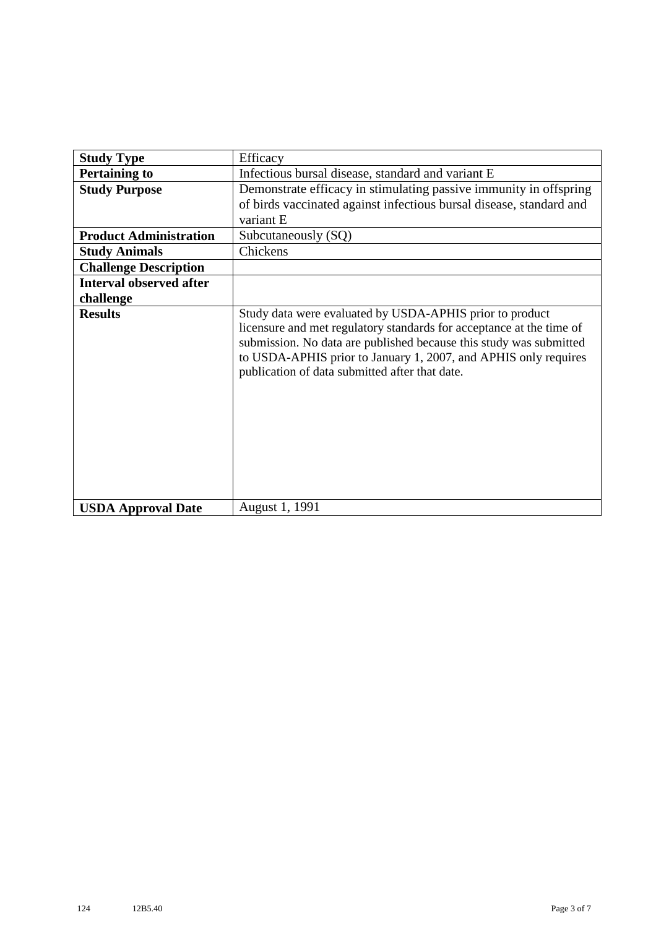| <b>Study Type</b>              | Efficacy                                                                                                                                                                                                                                                                                                                    |
|--------------------------------|-----------------------------------------------------------------------------------------------------------------------------------------------------------------------------------------------------------------------------------------------------------------------------------------------------------------------------|
| <b>Pertaining to</b>           | Infectious bursal disease, standard and variant E                                                                                                                                                                                                                                                                           |
| <b>Study Purpose</b>           | Demonstrate efficacy in stimulating passive immunity in offspring                                                                                                                                                                                                                                                           |
|                                | of birds vaccinated against infectious bursal disease, standard and                                                                                                                                                                                                                                                         |
|                                | variant E                                                                                                                                                                                                                                                                                                                   |
| <b>Product Administration</b>  | Subcutaneously (SQ)                                                                                                                                                                                                                                                                                                         |
| <b>Study Animals</b>           | Chickens                                                                                                                                                                                                                                                                                                                    |
| <b>Challenge Description</b>   |                                                                                                                                                                                                                                                                                                                             |
| <b>Interval observed after</b> |                                                                                                                                                                                                                                                                                                                             |
| challenge                      |                                                                                                                                                                                                                                                                                                                             |
| <b>Results</b>                 | Study data were evaluated by USDA-APHIS prior to product<br>licensure and met regulatory standards for acceptance at the time of<br>submission. No data are published because this study was submitted<br>to USDA-APHIS prior to January 1, 2007, and APHIS only requires<br>publication of data submitted after that date. |
| <b>USDA Approval Date</b>      | August 1, 1991                                                                                                                                                                                                                                                                                                              |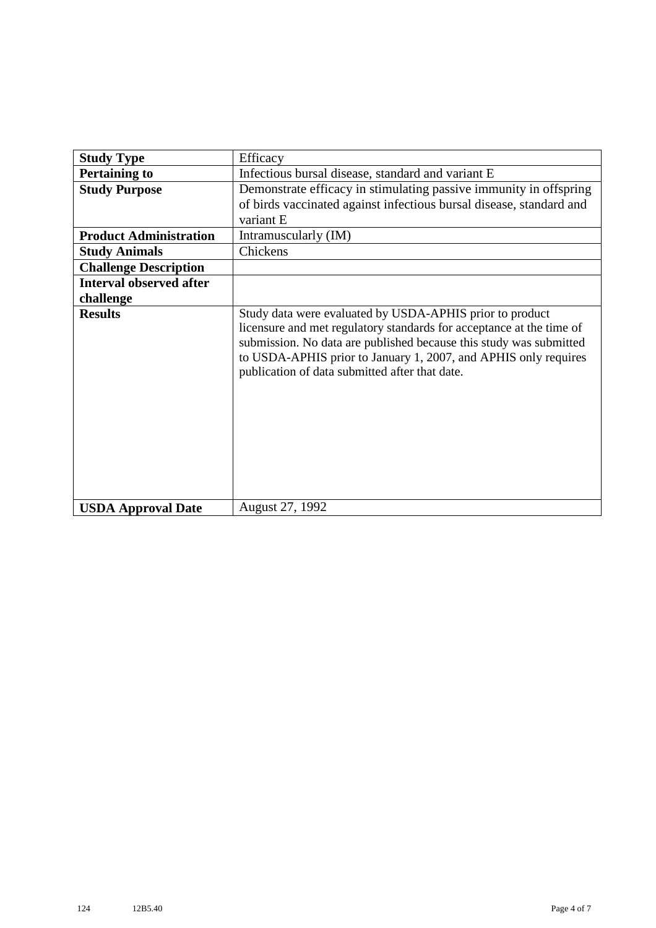| <b>Study Type</b>              | Efficacy                                                                                                                                                                                                                                                                                                                    |
|--------------------------------|-----------------------------------------------------------------------------------------------------------------------------------------------------------------------------------------------------------------------------------------------------------------------------------------------------------------------------|
| <b>Pertaining to</b>           | Infectious bursal disease, standard and variant E                                                                                                                                                                                                                                                                           |
| <b>Study Purpose</b>           | Demonstrate efficacy in stimulating passive immunity in offspring                                                                                                                                                                                                                                                           |
|                                | of birds vaccinated against infectious bursal disease, standard and                                                                                                                                                                                                                                                         |
|                                | variant E                                                                                                                                                                                                                                                                                                                   |
| <b>Product Administration</b>  | Intramuscularly (IM)                                                                                                                                                                                                                                                                                                        |
| <b>Study Animals</b>           | Chickens                                                                                                                                                                                                                                                                                                                    |
| <b>Challenge Description</b>   |                                                                                                                                                                                                                                                                                                                             |
| <b>Interval observed after</b> |                                                                                                                                                                                                                                                                                                                             |
| challenge                      |                                                                                                                                                                                                                                                                                                                             |
| <b>Results</b>                 | Study data were evaluated by USDA-APHIS prior to product<br>licensure and met regulatory standards for acceptance at the time of<br>submission. No data are published because this study was submitted<br>to USDA-APHIS prior to January 1, 2007, and APHIS only requires<br>publication of data submitted after that date. |
| <b>USDA Approval Date</b>      | August 27, 1992                                                                                                                                                                                                                                                                                                             |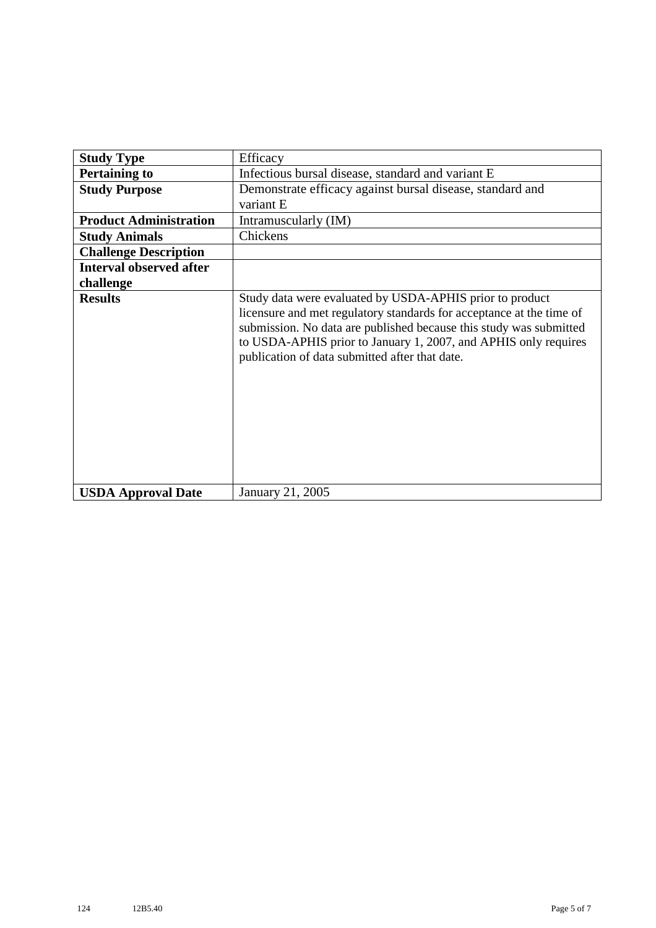| <b>Study Type</b>              | Efficacy                                                                                                                                                                                                                                                                                                                    |
|--------------------------------|-----------------------------------------------------------------------------------------------------------------------------------------------------------------------------------------------------------------------------------------------------------------------------------------------------------------------------|
| <b>Pertaining to</b>           | Infectious bursal disease, standard and variant E                                                                                                                                                                                                                                                                           |
| <b>Study Purpose</b>           | Demonstrate efficacy against bursal disease, standard and                                                                                                                                                                                                                                                                   |
|                                | variant E                                                                                                                                                                                                                                                                                                                   |
| <b>Product Administration</b>  | Intramuscularly (IM)                                                                                                                                                                                                                                                                                                        |
| <b>Study Animals</b>           | Chickens                                                                                                                                                                                                                                                                                                                    |
| <b>Challenge Description</b>   |                                                                                                                                                                                                                                                                                                                             |
| <b>Interval observed after</b> |                                                                                                                                                                                                                                                                                                                             |
| challenge                      |                                                                                                                                                                                                                                                                                                                             |
| <b>Results</b>                 | Study data were evaluated by USDA-APHIS prior to product<br>licensure and met regulatory standards for acceptance at the time of<br>submission. No data are published because this study was submitted<br>to USDA-APHIS prior to January 1, 2007, and APHIS only requires<br>publication of data submitted after that date. |
| <b>USDA Approval Date</b>      | January 21, 2005                                                                                                                                                                                                                                                                                                            |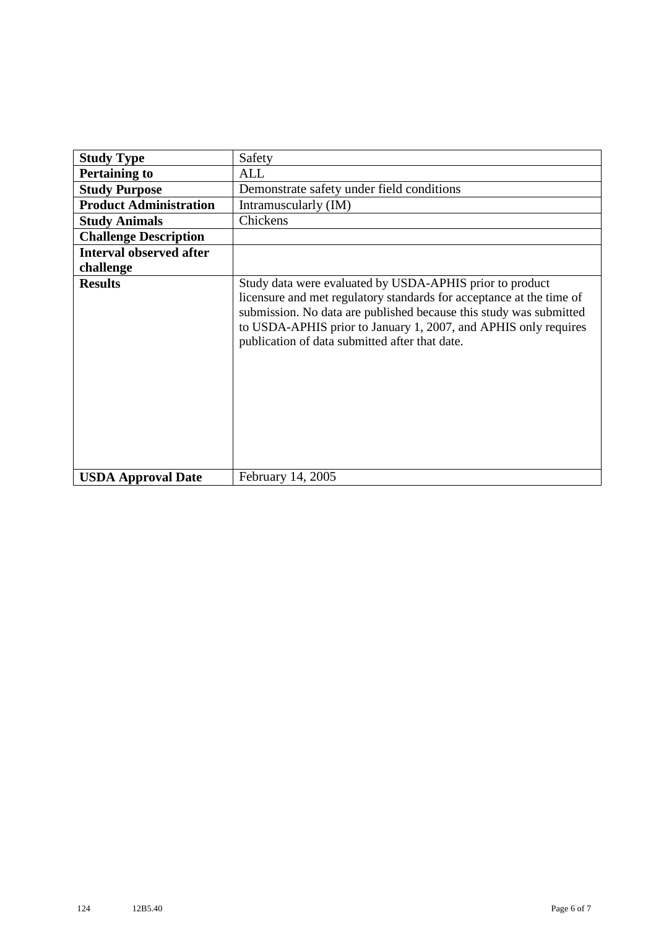| <b>Study Type</b>              | Safety                                                                                                                                                                                                                                                                                                                      |
|--------------------------------|-----------------------------------------------------------------------------------------------------------------------------------------------------------------------------------------------------------------------------------------------------------------------------------------------------------------------------|
| <b>Pertaining to</b>           | ALL                                                                                                                                                                                                                                                                                                                         |
| <b>Study Purpose</b>           | Demonstrate safety under field conditions                                                                                                                                                                                                                                                                                   |
| <b>Product Administration</b>  | Intramuscularly (IM)                                                                                                                                                                                                                                                                                                        |
| <b>Study Animals</b>           | Chickens                                                                                                                                                                                                                                                                                                                    |
| <b>Challenge Description</b>   |                                                                                                                                                                                                                                                                                                                             |
| <b>Interval observed after</b> |                                                                                                                                                                                                                                                                                                                             |
| challenge                      |                                                                                                                                                                                                                                                                                                                             |
| <b>Results</b>                 | Study data were evaluated by USDA-APHIS prior to product<br>licensure and met regulatory standards for acceptance at the time of<br>submission. No data are published because this study was submitted<br>to USDA-APHIS prior to January 1, 2007, and APHIS only requires<br>publication of data submitted after that date. |
| <b>USDA Approval Date</b>      | February 14, 2005                                                                                                                                                                                                                                                                                                           |